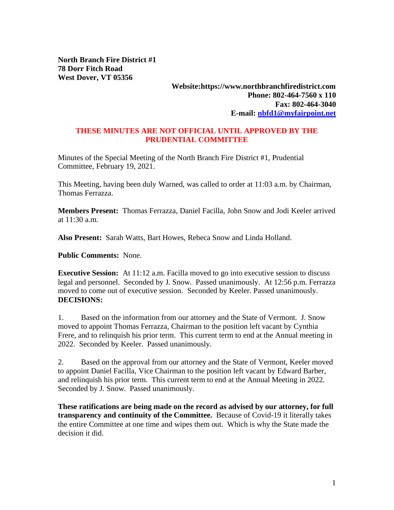**North Branch Fire District #1 78 Dorr Fitch Road West Dover, VT 05356**

## **Website:https://www.northbranchfiredistrict.com Phone: 802-464-7560 x 110 Fax: 802-464-3040 E-mail: [nbfd1@myfairpoint.net](mailto:nbfd1@myfairpoint.net)**

## **THESE MINUTES ARE NOT OFFICIAL UNTIL APPROVED BY THE PRUDENTIAL COMMITTEE**

Minutes of the Special Meeting of the North Branch Fire District #1, Prudential Committee, February 19, 2021.

This Meeting, having been duly Warned, was called to order at 11:03 a.m. by Chairman, Thomas Ferrazza.

**Members Present:** Thomas Ferrazza, Daniel Facilla, John Snow and Jodi Keeler arrived at  $11:30$  a.m.

**Also Present:** Sarah Watts, Bart Howes, Rebeca Snow and Linda Holland.

**Public Comments:** None.

**Executive Session:** At 11:12 a.m. Facilla moved to go into executive session to discuss legal and personnel. Seconded by J. Snow. Passed unanimously. At 12:56 p.m. Ferrazza moved to come out of executive session. Seconded by Keeler. Passed unanimously. **DECISIONS:**

1. Based on the information from our attorney and the State of Vermont. J. Snow moved to appoint Thomas Ferrazza, Chairman to the position left vacant by Cynthia Frere, and to relinquish his prior term. This current term to end at the Annual meeting in 2022. Seconded by Keeler. Passed unanimously.

2. Based on the approval from our attorney and the State of Vermont, Keeler moved to appoint Daniel Facilla, Vice Chairman to the position left vacant by Edward Barber, and relinquish his prior term. This current term to end at the Annual Meeting in 2022. Seconded by J. Snow. Passed unanimously.

**These ratifications are being made on the record as advised by our attorney, for full transparency and continuity of the Committee.** Because of Covid-19 it literally takes the entire Committee at one time and wipes them out. Which is why the State made the decision it did.